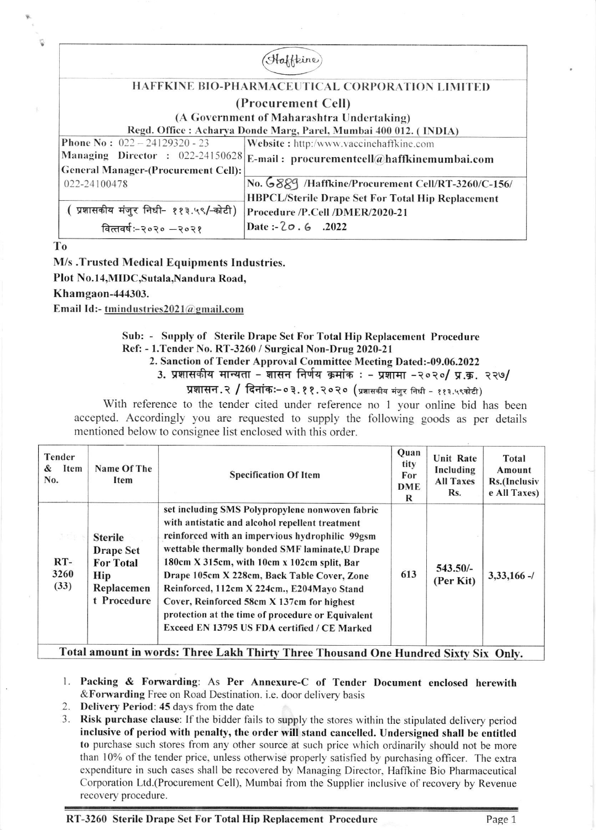| Haffeine                                                         |                                                          |  |  |  |  |  |
|------------------------------------------------------------------|----------------------------------------------------------|--|--|--|--|--|
|                                                                  |                                                          |  |  |  |  |  |
| HAFFKINE BIO-PHARMACEUTICAL CORPORATION LIMITED                  |                                                          |  |  |  |  |  |
| (Procurement Cell)                                               |                                                          |  |  |  |  |  |
| (A Government of Maharashtra Undertaking)                        |                                                          |  |  |  |  |  |
| Regd. Office: Acharya Donde Marg, Parel, Mumbai 400 012. (INDIA) |                                                          |  |  |  |  |  |
| <b>Phone No: <math>022 - 24129320 - 23</math></b>                | Website: http:/www.vaccinehaffkine.com                   |  |  |  |  |  |
| Managing Director : 022-24150628                                 | E-mail: procurementcell@haffkinemumbai.com               |  |  |  |  |  |
| <b>General Manager-(Procurement Cell):</b>                       |                                                          |  |  |  |  |  |
| 022-24100478                                                     | No. 6889 /Haffkine/Procurement Cell/RT-3260/C-156/       |  |  |  |  |  |
|                                                                  | <b>HBPCL/Sterile Drape Set For Total Hip Replacement</b> |  |  |  |  |  |
| (प्रशासकीय मंजुर निधी- ११३.५९/-कोटी)                             | Procedure /P.Cell /DMER/2020-21                          |  |  |  |  |  |
| वित्तवर्षः-२०२० -२०२१                                            | Date: $-20.6$ .2022                                      |  |  |  |  |  |

To

M/s .Trusted Medical Equipments Industries.

Plot No.l4,MIDC,Sutala,Nandura Road,

Khamgaon-444303.

Email Id:- tmind ustries  $2021$  @ gmail.com

## Sub: - Supply of Sterile Drape Set For Total Hip Replacement Procedure Rcf: - l.Tender No. RT-3260 / Surgical Non-Drug 2020-21

2. Sanction of Tender Approval Committee Meeting Dated:-09.06.2022

3. प्रशासकीय मान्यता - शासन निर्णय क्रमांक : - प्रशामा -२०२०/ प्र.क्र. २२७/

प्रशासन.२ / दिनांक:-०३.११.२०२० (प्रशासकीय मंजुर निधी - ११३.५९कोटी)

With reference to the tender cited under reference no 1 your online bid has been accepted. Accordingly you are requested to supply the following goods as per details mentioned below to consignee list enclosed with this order.

| Tender<br>Item<br>&<br>No.            | Name Of The<br>Item                                                                        | <b>Specification Of Item</b>                                                                                                                                                                                                                                                                                                                                                                                                                                                                            | Quan<br>tity<br>For<br>DME<br>R | <b>Unit Rate</b><br>Including<br><b>All Taxes</b><br>Rs. | Total<br>Amount<br>Rs.(Inclusiv<br>e All Taxes) |  |
|---------------------------------------|--------------------------------------------------------------------------------------------|---------------------------------------------------------------------------------------------------------------------------------------------------------------------------------------------------------------------------------------------------------------------------------------------------------------------------------------------------------------------------------------------------------------------------------------------------------------------------------------------------------|---------------------------------|----------------------------------------------------------|-------------------------------------------------|--|
| $1 - 11 + 1$<br>$RT-$<br>3260<br>(33) | <b>Sterile</b><br><b>Drape Set</b><br><b>For Total</b><br>Hip<br>Replacemen<br>t Procedure | set including SMS Polypropylene nonwoven fabric<br>with antistatic and alcohol repellent treatment<br>reinforced with an impervious hydrophilic 99gsm<br>wettable thermally bonded SMF laminate, U Drape<br>180cm X 315cm, with 10cm x 102cm split, Bar<br>Drape 105cm X 228cm, Back Table Cover, Zone<br>Reinforced, 112cm X 224cm., E204Mayo Stand<br>Cover, Reinforced 58cm X 137cm for highest<br>protection at the time of procedure or Equivalent<br>Exceed EN 13795 US FDA certified / CE Marked | 613                             | 543.50/-<br>(Per Kit)                                    | $3,33,166 -$                                    |  |
| --                                    |                                                                                            |                                                                                                                                                                                                                                                                                                                                                                                                                                                                                                         |                                 |                                                          |                                                 |  |

Total amount in words: Three Lakh Thirty Three Thousand One Hundred Sixty Six Onlv.

- l. Packing & Forwarding: As Per Annexure-C of Tender Document enclosed herewith &Forwarding Free on Road Destination. i.e. door delivery basis
- 2. Delivery Period: 45 days from the date
- 3. Risk purchase clause: If the bidder fails to supply the stores within the stipulated delivery period inclusive of period with penalty, the order will stand cancelled. Undersigned shall be entitled to purchase such stores from any other source at such price which ordinarily should not be more than l0% of the tender price. unless otherwise properly satisfied by purchasing officer. The extra expenditure in such cases shall be recovered by Managing Director. Haffkine Bio Pharmaceutical Corporation Ltd.(Procurement Cell), Mumbai from the Supplier inclusive of recovery by Revenue recovery procedure.